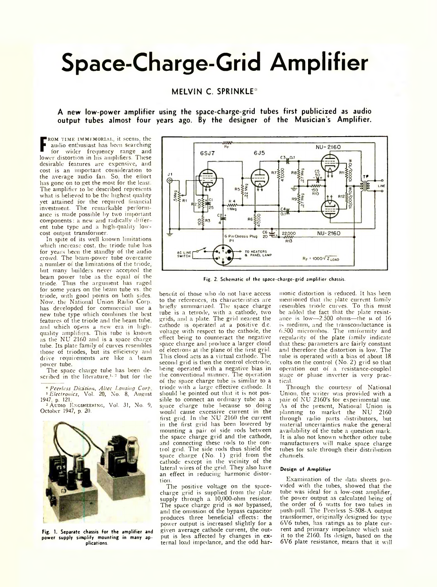# **Space-Charge-Grid Amplifier**

## **MELVIN C. SPRINKLE\***

**A new low-power amplifier using the space-charge-grid tubes first publicized as audio output tubes almost four years ago. By the designer of the Musician's Amplifier.**

**F** for wider frequency range and<br>lower distortion in his amplifiers. These ROM TIME IMMEMORIAL, it seems, the audio enthusiast has been searching lor wider frequency range and desirable features are expensive, and cost is an important consideration to the average audio fan. So, the effort has gone on to get the most for the least. The amplifier to be described represents what is believed to be the highest quality yet attained for the required financial investment. The remarkable pertormancc is made possible by two important components: a new and radically different tube type and a high-quality lowcost output transformer.

In spite of its well known limitations which increase cost, the triode tube has for years been the standby of the audio crowd. The beam-power tube overcame a number of the limitations of the triode, but many builders never accepted the beam power tube as the equal of the triode. Thus the argument has raged for some years on the beam tube vs. the triode, with good points on both sides. Now, the National Union Radio Corp. has developded for commercial use a new tube type which combines the best features of the triode and the beam tube, and which opens a new era in highqualitv amplifiers. This tube is known as the NU<sup>'</sup> 2160 and is a space charge tube. Its plate family of curves resembles those of triodes, but its efficiency and drive requirements are like a beam power tube.

The space charge tube has been described in the literature<sup>1, 2</sup> but for the

*\* Peerless Division, Altec Lansing Cor[> 1 Electronics,* Vol. 20, No. 8, August 1947. p. 121.

<sup>2</sup> AUDIO ENGINEERING, Vol. 31, No. 9, October 1947, p. 20.



**Fig. 1. Separate chassis for the amplifier and power supply simplify mounting in many applications.**



Fig. 2. Schematic of the space-charge-grid amplifier chassis.

benefit of those who do not have access to the references, its characteristics are briefly summarized. The space charge tube is a tetrode, with a cathode, two grids, and a plate. The grid nearest the cathode is operated at a positive d.c. voltage with respect to the cathode, the effect being to counteract the negative space charge and produce a larger cloud of electrons at the plane of the first grid. This cloud acts as a virtual cathode. The second grid is then the control electrode, being operated with a negative bias in the conventional manner. The operation of the space charge tube is similar to a triodc with a large effective cathode. It should be pointed out that it is not possible to connect an ordinary tube as a space charge tube because so doing would cause excessive current in the first grid. In the NU 2160 the current in the first grid has been lowered by mounting a pair of side rods between the space charge grid and the cathode, and connecting these rods to the control grid. The side rods thus shield the space charge (No. 1) grid from the cathode except in the vicinity of the lateral wires of the grid. They also have an effect in reducing harmonic distortion.

The positive voltage on the spacecharge grid is supplied from the plate supply through a 10,000-ohm resistor. The space charge grid is *not* bypassed, and the omission of the bypass capacitor produces three beneficial effects: the power output is increased slightly for a given average cathode current, the output is less affected by changes in external load impedance, and the odd har-

monic distortion is reduced. It has been mentioned that the plate current family resembles triodc curves. To this must be added the fact that the plate resistance is low- $-2.500$  ohms-the  $\mu$  of 16 is medium, and the transconductance is 6.500 micromhos. The uniformity and regularity of the plate family indicate that these parameters are fairly constant and therefore the distortion is low. The tube is operated with a bias of about 18 volts on the control (No. 2) grid so that operation out of a resistance-coupled stage or phase inverter is very prac tical.

Through the courtesy of National Union, the writer was provided with a pair of NU 2160's for experimental use. As of the present, National Union is planning to market the NU 2160 through radio parts distributors, but material uncertainties make the general availability of the tube a question mark. It is also not known whether other tube manufacturers will make space charge tubes for sale through their distribution channels.

### **Design of Am plifier**

Examination of the data sheets provided with the tubes, showed that the tube was ideal for a low-cost amplifier. the power output as calculated being of the order of 6 watts for two tubes in push-pull. The Peerless S-508-A output transformer, originally designed for type 6V6 tubes, has ratings as to plate current and primary impedance which suit it to the 2160. Its design, based on the 6V6 plate resistance, means that it will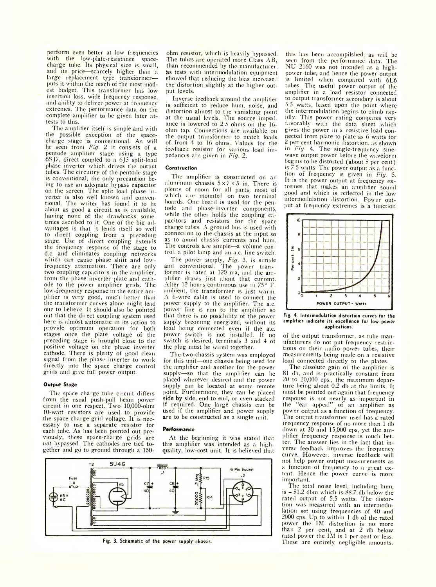perform even better at low frequencies with the low-plate-resistance spacecharge tube. Its physical size is small, and its price—scarcely higher than a large replacement type transformerputs it within the reach of the most modest budget. This transformer has low insertion loss, wide frequency response, and ability to deliver power at frequency extremes. The performance data on the complete amplifier to be given later attests to this.

The amplifier itself is simple and with the possible exception of the spacecharge stage is conventional. As will he seen from *Fig.* 2 it consists of a pentode amplifier stage using a type 6SJ7, direct coupled to a 6J5 split-load phase inverter which drives the output tubes. The circuitry of the pentode stage is conventional, the only precaution being to use an adequate bypass capacitor on the screen. The split load phase inverter is also well known and conventional. The writer has found it to he about as good a circuit as is available, having none of the drawbacks sometimes ascribed to it. One of the big advantages is that it lends itself so well to direct coupling from a preceding stage. Use of direct coupling extends the frequency response of the stage to d.c. and eliminates coupling networks which can cause phase shift and lowfrequency attenuation. There are only two coupling capacitors in the amplifier, from the phase inverter plate and cathode to the power amplifier grids. The low-frequency response in the entire amplifier is very good, much better than the transformer curves alone might lead one to believe. It should also be pointed out that the direct coupling system used here is almost automatic in its action to provide optimum operation for both stages once the plate voltage of the preceding stage is brought close to the positive voltage on the phase inverter cathode. There is plenty of good clean signal from the phase inverter to work directly into the space charge control grids and give full power output.

#### **Output Stage**

The space charge tube circuit differs from the usual push-pull beam power circuit in one respect. Two 10,000-ohm 10-watt resistors are used to provide the space charge grid voltage. It is necessary to use a separate resistor for each tube. As has been pointed out previously, these space-charge grids are *not* bypassed. The cathodes are tied together and go to ground through a 150ohm resistor, which is heavily bypassed. The tubes are operated more Class  $AB_1$ than recommended by the manufacturer, as tests with intermodulation equipment showed that reducing the bias increased the distortion slightly at the higher output levels.

Inverse feedback around the amplifier is sufficient to reduce hum, noise, and distortion almost to the vanishing point at the usual levels. The source imped ance is lowered to 2.5 ohms on the 16 ohm tap. Connections are available on the output transformer to match loads of from 4 to 16 ohms. Values for the feedback resistor for various load impedances are given in *Fig. 2.* 

#### **Construction**

The amplifier is constructed on an aluminum chassis  $5 \times 7 \times 3$  in. There is plenty of room for all parts, most of which are mounted on two terminal boards. One board is used for the pentode and phase-inverter components, while the other holds the coupling capacitors and resistors for the space charge tubes. A ground bus is used with connection to the chassis at the input so as to avoid chassis currents and hum. The controls are simple—a volume control. a pilot lamp and an a.c. line switch.

The power supply, *Fig.* 3, is simple and conventional. The power transformer is rated at 120 ma, and the amplifier draws just about that current. After 12 hours continuous use in 75° F. ambient, the transformer is just warm. A 6-wire cable is used to connect the power supply to the amplifier. The a.c. power line is run to the amplifier so that there is no possibility of the power supply becoming energized, without its load being connected even if the a.c. power switch is not installed. If no switch is desired, terminals 3 and 4 of the plug must be wired together.

The two-chassis system was employed for this unit—one chassis being used for the amplifier and another for the power supply-so that the amplifier can be placed wherever desired and the power supply can be located at some remote point. Furthermore, they can be placed side by side, end to end, or even stacked if required. One large chassis can be used if the amplifier and power supply are to be constructed as a single unit.

#### **Performance**

At the beginning it was stated that this amplifier was intended as a highquality, low-cost unit. It is believed that



Fig. 3. Schematic of the power supply chassis.

this has been accompilshed, as will be seen from the performance data. The NU 2160 was not intended as a highpower tube, and hence the power output is limited when compared with 6L6 tubes. The useful power output of the amplifier in a load resistor connected to output transformer secondary is about 5.5 watts, based upon the point where the intermodulation begins to climb rapidly. This power rating compares very favorably with the data sheet which gives the power in a resistive load connected from plate to plate as 6 watts for 2 per cent harmonic distortion, as shown in *Fig*. 4. The single-frequency sinewave output power before the waveform begins to be distorted (about 5 per cent) is 7.5 watts. The power output as a function of frequency is given in *Fig.* 5. It is the power output at frequency extremes that makes an amplifier sound good and which is reflected in the low intermodulation distortion. Power output at frequency extremes is a function



**Fig. 4. Intermodulation distortion curves for the amplifier indicate its excellence for low-power applications.**

of the output transformer, as tube manufacturers do not put frequency restrictions on their audio power tubes, their measurements being made on a resistive load connected directly to the plates.

The absolute gain of the amplifier is 81 db, and is practically constant from 20 to 20,000 cps., the maximum departure being about 0.2 db at the limits. It must be pointed out again that frequency response is not nearly as important in "ear appeal" of an amplifier as power output as a function of frequency. The output transformer used has a rated frequency response of no more than 1 db down at 30 and 15,000 cps, yet the amplifier frequency response is much better. The answer lies in the fact that inverse feedback improves the frequency curve. However, inverse feedback will not help power output measurements as a function of frequency to a great extent. Hence the power curve is more important.

The total noise level, including hum,  $is -51.2$  dbm which is  $88.7$  db below the rated output of 5.5 watts. The distortion was measured with an intermodulation set using frequencies of 40 and 2000 cps. Up to within 1 db of the rated power the 1M distortion is no more than 2 per cent, and at 2 db below rated power the IM is 1 per cent or less. These are entirely negligible amounts.